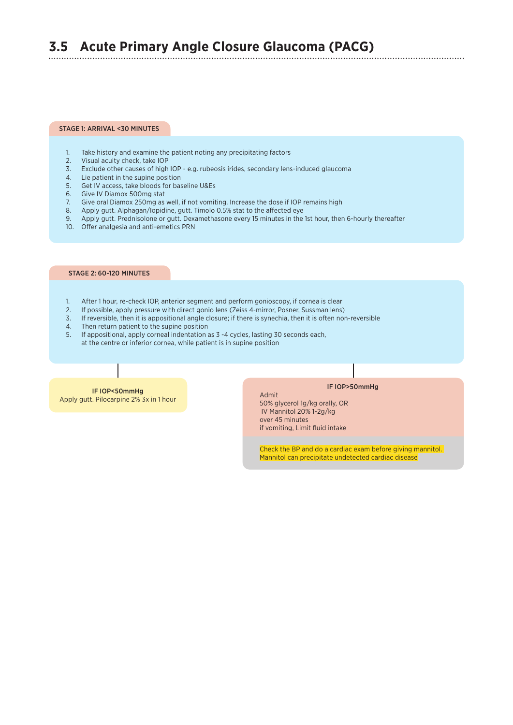# **3.5 Acute Primary Angle Closure Glaucoma (PACG)**

## STAGE 1: ARRIVAL <30 MINUTES

- 1. Take history and examine the patient noting any precipitating factors
- 2. Visual acuity check, take IOP
- 3. Exclude other causes of high IOP e.g. rubeosis irides, secondary lens-induced glaucoma
- 4. Lie patient in the supine position
- 5. Get IV access, take bloods for baseline U&Es
- 6. Give IV Diamox 500mg stat
- 7. Give oral Diamox 250mg as well, if not vomiting. Increase the dose if IOP remains high
- 8. Apply gutt. Alphagan/Iopidine, gutt. Timolo 0.5% stat to the affected eye
- 9. Apply gutt. Prednisolone or gutt. Dexamethasone every 15 minutes in the 1st hour, then 6-hourly thereafter
- 10. Offer analgesia and anti-emetics PRN

### STAGE 2: 60-120 MINUTES

- 1. After 1 hour, re-check IOP, anterior segment and perform gonioscopy, if cornea is clear
- 2. If possible, apply pressure with direct gonio lens (Zeiss 4-mirror, Posner, Sussman lens)<br>2. If reversible, then it is annotificant angle electure: if there is superior, Posner, Sussman lens)
- 3. If reversible, then it is appositional angle closure; if there is synechia, then it is often non-reversible
- 4. Then return patient to the supine position
- 5. If appositional, apply corneal indentation as 3 -4 cycles, lasting 30 seconds each, at the centre or inferior cornea, while patient is in supine position

## IF IOP<50mmHg Apply gutt. Pilocarpine 2% 3x in 1 hour

#### IF IOP>50mmHg

Admit 50% glycerol 1g/kg orally, OR IV Mannitol 20% 1-2g/kg over 45 minutes if vomiting, Limit fluid intake

Check the BP and do a cardiac exam before giving mannitol. Mannitol can precipitate undetected cardiac disease